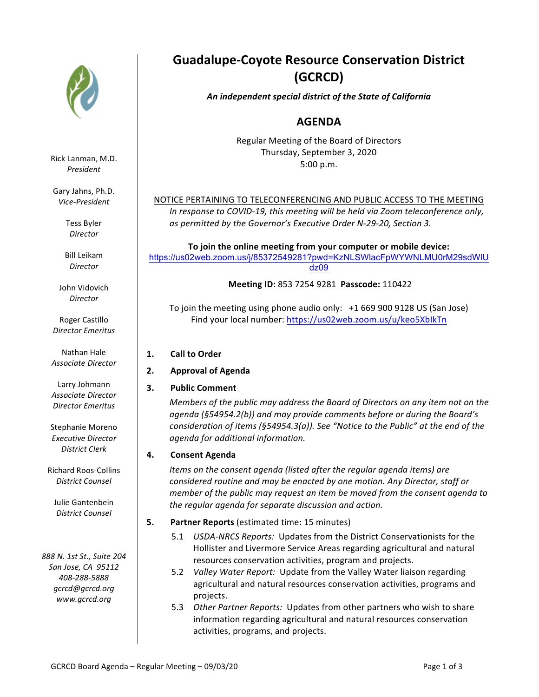

Rick Lanman, M.D. *President*

Gary Jahns, Ph.D. *Vice-President*

> Tess Byler *Director*

Bill Leikam *Director*

John Vidovich *Director*

Roger Castillo *Director Emeritus*

Nathan Hale *Associate Director*

Larry Johmann *Associate Director Director Emeritus*

Stephanie Moreno *Executive Director District Clerk*

Richard Roos-Collins *District Counsel*

Julie Gantenbein *District Counsel*

*888 N. 1st St., Suite 204 San Jose, CA 95112 408-288-5888* gcrcd@gcrcd.org *www.gcrcd.org*

# **Guadalupe-Coyote Resource Conservation District (GCRCD)**

*An independent special district of the State of California*

# **AGENDA**

Regular Meeting of the Board of Directors Thursday, September 3, 2020 5:00 p.m.

## NOTICE PERTAINING TO TELECONFERENCING AND PUBLIC ACCESS TO THE MEETING

*In response to COVID-19, this meeting will be held via Zoom teleconference only,* as permitted by the Governor's Executive Order N-29-20, Section 3.

To join the online meeting from your computer or mobile device: https://us02web.zoom.us/j/85372549281?pwd=KzNLSWlacFpWYWNLMU0rM29sdWlU dz09

**Meeting ID:** 853 7254 9281 **Passcode:** 110422

To join the meeting using phone audio only:  $+1$  669 900 9128 US (San Jose) Find your local number: https://us02web.zoom.us/u/keo5XbIkTn

- **1. Call to Order**
- **2. Approval of Agenda**
- **3.** Public Comment

*Members* of the public may address the Board of Directors on any item not on the agenda (§54954.2(b)) and may provide comments before or during the Board's *consideration of items (§54954.3(a)). See "Notice to the Public" at the end of the agenda for additional information.*

### **4. Consent Agenda**

*Items* on the consent agenda (listed after the regular agenda items) are *considered routine and may be enacted by one motion. Any Director, staff or member* of the public may request an item be moved from the consent agenda to the regular agenda for separate discussion and action.

- **5. Partner Reports** (estimated time: 15 minutes)
	- 5.1 USDA-NRCS Reports: Updates from the District Conservationists for the Hollister and Livermore Service Areas regarding agricultural and natural resources conservation activities, program and projects.
	- 5.2 *Valley Water Report:* Update from the Valley Water liaison regarding agricultural and natural resources conservation activities, programs and projects.
	- 5.3 Other Partner Reports: Updates from other partners who wish to share information regarding agricultural and natural resources conservation activities, programs, and projects.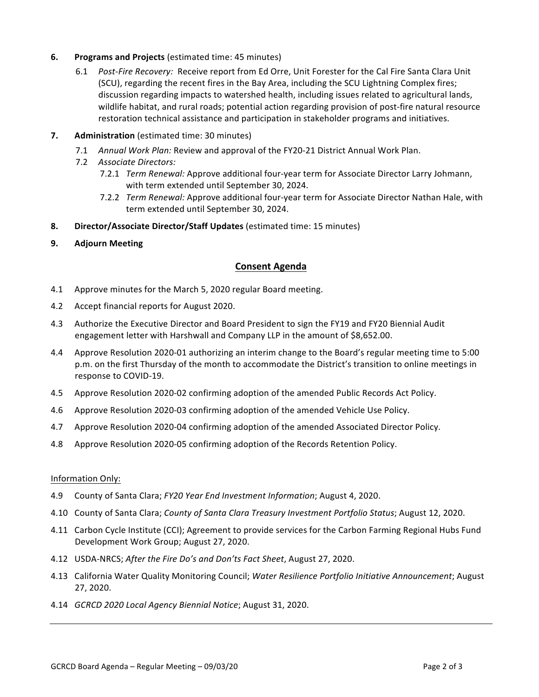#### **6.** Programs and Projects (estimated time: 45 minutes)

- 6.1 Post-Fire Recovery: Receive report from Ed Orre, Unit Forester for the Cal Fire Santa Clara Unit (SCU), regarding the recent fires in the Bay Area, including the SCU Lightning Complex fires; discussion regarding impacts to watershed health, including issues related to agricultural lands, wildlife habitat, and rural roads; potential action regarding provision of post-fire natural resource restoration technical assistance and participation in stakeholder programs and initiatives.
- **7. Administration** (estimated time: 30 minutes)
	- 7.1 Annual Work Plan: Review and approval of the FY20-21 District Annual Work Plan.
	- 7.2 *Associate Directors:*
		- 7.2.1 *Term Renewal:* Approve additional four-year term for Associate Director Larry Johmann, with term extended until September 30, 2024.
		- 7.2.2 *Term Renewal:* Approve additional four-year term for Associate Director Nathan Hale, with term extended until September 30, 2024.
- **8. Director/Associate Director/Staff Updates** (estimated time: 15 minutes)
- **9. Adjourn Meeting**

#### **Consent Agenda**

- 4.1 Approve minutes for the March 5, 2020 regular Board meeting.
- 4.2 Accept financial reports for August 2020.
- 4.3 Authorize the Executive Director and Board President to sign the FY19 and FY20 Biennial Audit engagement letter with Harshwall and Company LLP in the amount of \$8,652.00.
- 4.4 Approve Resolution 2020-01 authorizing an interim change to the Board's regular meeting time to 5:00 p.m. on the first Thursday of the month to accommodate the District's transition to online meetings in response to COVID-19.
- 4.5 Approve Resolution 2020-02 confirming adoption of the amended Public Records Act Policy.
- 4.6 Approve Resolution 2020-03 confirming adoption of the amended Vehicle Use Policy.
- 4.7 Approve Resolution 2020-04 confirming adoption of the amended Associated Director Policy.
- 4.8 Approve Resolution 2020-05 confirming adoption of the Records Retention Policy.

#### Information Only:

- 4.9 County of Santa Clara; *FY20 Year End Investment Information*; August 4, 2020.
- 4.10 County of Santa Clara; *County of Santa Clara Treasury Investment Portfolio Status*; August 12, 2020.
- 4.11 Carbon Cycle Institute (CCI); Agreement to provide services for the Carbon Farming Regional Hubs Fund Development Work Group; August 27, 2020.
- 4.12 USDA-NRCS; After the Fire Do's and Don'ts Fact Sheet, August 27, 2020.
- 4.13 California Water Quality Monitoring Council; Water Resilience Portfolio Initiative Announcement; August 27, 2020.
- 4.14 *GCRCD 2020 Local Agency Biennial Notice*; August 31, 2020.